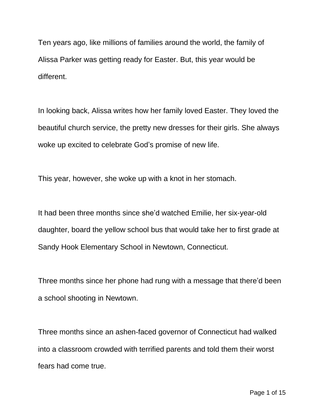Ten years ago, like millions of families around the world, the family of Alissa Parker was getting ready for Easter. But, this year would be different.

In looking back, Alissa writes how her family loved Easter. They loved the beautiful church service, the pretty new dresses for their girls. She always woke up excited to celebrate God's promise of new life.

This year, however, she woke up with a knot in her stomach.

It had been three months since she'd watched Emilie, her six-year-old daughter, board the yellow school bus that would take her to first grade at Sandy Hook Elementary School in Newtown, Connecticut.

Three months since her phone had rung with a message that there'd been a school shooting in Newtown.

Three months since an ashen-faced governor of Connecticut had walked into a classroom crowded with terrified parents and told them their worst fears had come true.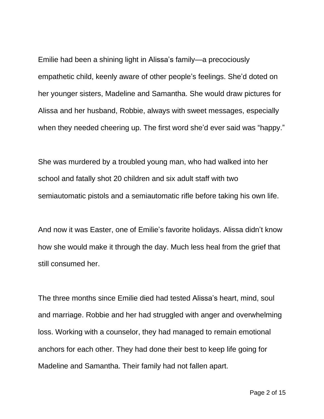Emilie had been a shining light in Alissa's family—a precociously empathetic child, keenly aware of other people's feelings. She'd doted on her younger sisters, Madeline and Samantha. She would draw pictures for Alissa and her husband, Robbie, always with sweet messages, especially when they needed cheering up. The first word she'd ever said was "happy."

She was murdered by a troubled young man, who had walked into her school and fatally shot 20 children and six adult staff with two semiautomatic pistols and a semiautomatic rifle before taking his own life.

And now it was Easter, one of Emilie's favorite holidays. Alissa didn't know how she would make it through the day. Much less heal from the grief that still consumed her.

The three months since Emilie died had tested Alissa's heart, mind, soul and marriage. Robbie and her had struggled with anger and overwhelming loss. Working with a counselor, they had managed to remain emotional anchors for each other. They had done their best to keep life going for Madeline and Samantha. Their family had not fallen apart.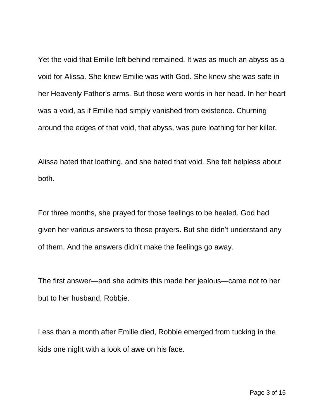Yet the void that Emilie left behind remained. It was as much an abyss as a void for Alissa. She knew Emilie was with God. She knew she was safe in her Heavenly Father's arms. But those were words in her head. In her heart was a void, as if Emilie had simply vanished from existence. Churning around the edges of that void, that abyss, was pure loathing for her killer.

Alissa hated that loathing, and she hated that void. She felt helpless about both.

For three months, she prayed for those feelings to be healed. God had given her various answers to those prayers. But she didn't understand any of them. And the answers didn't make the feelings go away.

The first answer—and she admits this made her jealous—came not to her but to her husband, Robbie.

Less than a month after Emilie died, Robbie emerged from tucking in the kids one night with a look of awe on his face.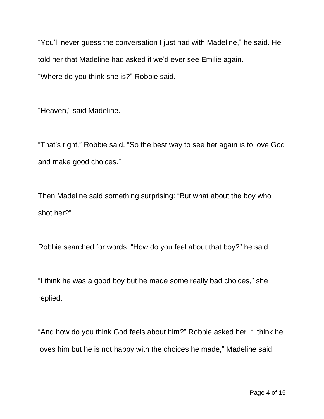"You'll never guess the conversation I just had with Madeline," he said. He told her that Madeline had asked if we'd ever see Emilie again. "Where do you think she is?" Robbie said.

"Heaven," said Madeline.

"That's right," Robbie said. "So the best way to see her again is to love God and make good choices."

Then Madeline said something surprising: "But what about the boy who shot her?"

Robbie searched for words. "How do you feel about that boy?" he said.

"I think he was a good boy but he made some really bad choices," she replied.

"And how do you think God feels about him?" Robbie asked her. "I think he loves him but he is not happy with the choices he made," Madeline said.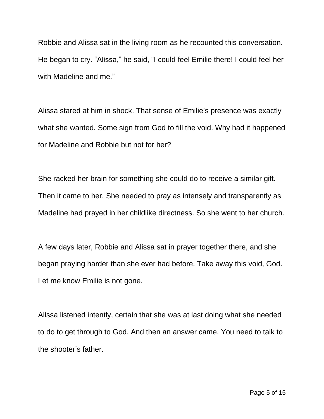Robbie and Alissa sat in the living room as he recounted this conversation. He began to cry. "Alissa," he said, "I could feel Emilie there! I could feel her with Madeline and me."

Alissa stared at him in shock. That sense of Emilie's presence was exactly what she wanted. Some sign from God to fill the void. Why had it happened for Madeline and Robbie but not for her?

She racked her brain for something she could do to receive a similar gift. Then it came to her. She needed to pray as intensely and transparently as Madeline had prayed in her childlike directness. So she went to her church.

A few days later, Robbie and Alissa sat in prayer together there, and she began praying harder than she ever had before. Take away this void, God. Let me know Emilie is not gone.

Alissa listened intently, certain that she was at last doing what she needed to do to get through to God. And then an answer came. You need to talk to the shooter's father.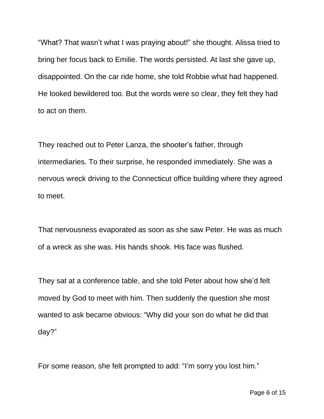"What? That wasn't what I was praying about!" she thought. Alissa tried to bring her focus back to Emilie. The words persisted. At last she gave up, disappointed. On the car ride home, she told Robbie what had happened. He looked bewildered too. But the words were so clear, they felt they had to act on them.

They reached out to Peter Lanza, the shooter's father, through intermediaries. To their surprise, he responded immediately. She was a nervous wreck driving to the Connecticut office building where they agreed to meet.

That nervousness evaporated as soon as she saw Peter. He was as much of a wreck as she was. His hands shook. His face was flushed.

They sat at a conference table, and she told Peter about how she'd felt moved by God to meet with him. Then suddenly the question she most wanted to ask became obvious: "Why did your son do what he did that day?"

For some reason, she felt prompted to add: "I'm sorry you lost him."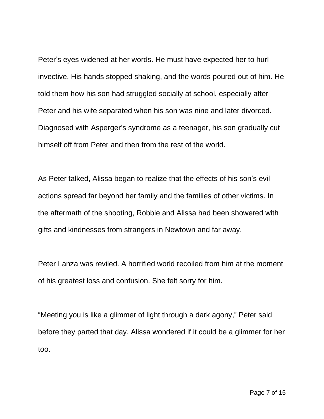Peter's eyes widened at her words. He must have expected her to hurl invective. His hands stopped shaking, and the words poured out of him. He told them how his son had struggled socially at school, especially after Peter and his wife separated when his son was nine and later divorced. Diagnosed with Asperger's syndrome as a teenager, his son gradually cut himself off from Peter and then from the rest of the world.

As Peter talked, Alissa began to realize that the effects of his son's evil actions spread far beyond her family and the families of other victims. In the aftermath of the shooting, Robbie and Alissa had been showered with gifts and kindnesses from strangers in Newtown and far away.

Peter Lanza was reviled. A horrified world recoiled from him at the moment of his greatest loss and confusion. She felt sorry for him.

"Meeting you is like a glimmer of light through a dark agony," Peter said before they parted that day. Alissa wondered if it could be a glimmer for her too.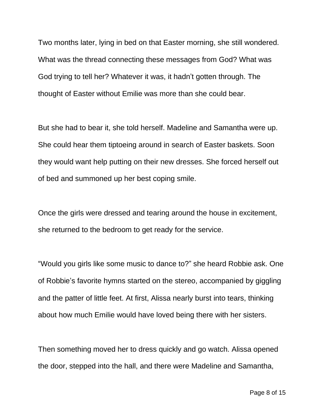Two months later, lying in bed on that Easter morning, she still wondered. What was the thread connecting these messages from God? What was God trying to tell her? Whatever it was, it hadn't gotten through. The thought of Easter without Emilie was more than she could bear.

But she had to bear it, she told herself. Madeline and Samantha were up. She could hear them tiptoeing around in search of Easter baskets. Soon they would want help putting on their new dresses. She forced herself out of bed and summoned up her best coping smile.

Once the girls were dressed and tearing around the house in excitement, she returned to the bedroom to get ready for the service.

"Would you girls like some music to dance to?" she heard Robbie ask. One of Robbie's favorite hymns started on the stereo, accompanied by giggling and the patter of little feet. At first, Alissa nearly burst into tears, thinking about how much Emilie would have loved being there with her sisters.

Then something moved her to dress quickly and go watch. Alissa opened the door, stepped into the hall, and there were Madeline and Samantha,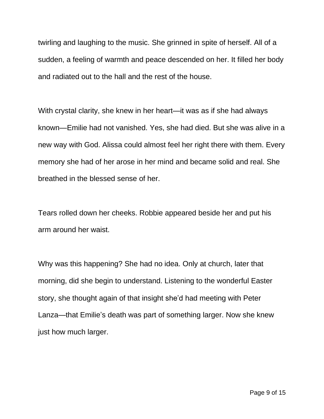twirling and laughing to the music. She grinned in spite of herself. All of a sudden, a feeling of warmth and peace descended on her. It filled her body and radiated out to the hall and the rest of the house.

With crystal clarity, she knew in her heart—it was as if she had always known—Emilie had not vanished. Yes, she had died. But she was alive in a new way with God. Alissa could almost feel her right there with them. Every memory she had of her arose in her mind and became solid and real. She breathed in the blessed sense of her.

Tears rolled down her cheeks. Robbie appeared beside her and put his arm around her waist.

Why was this happening? She had no idea. Only at church, later that morning, did she begin to understand. Listening to the wonderful Easter story, she thought again of that insight she'd had meeting with Peter Lanza—that Emilie's death was part of something larger. Now she knew just how much larger.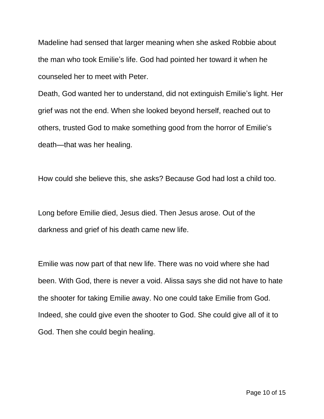Madeline had sensed that larger meaning when she asked Robbie about the man who took Emilie's life. God had pointed her toward it when he counseled her to meet with Peter.

Death, God wanted her to understand, did not extinguish Emilie's light. Her grief was not the end. When she looked beyond herself, reached out to others, trusted God to make something good from the horror of Emilie's death—that was her healing.

How could she believe this, she asks? Because God had lost a child too.

Long before Emilie died, Jesus died. Then Jesus arose. Out of the darkness and grief of his death came new life.

Emilie was now part of that new life. There was no void where she had been. With God, there is never a void. Alissa says she did not have to hate the shooter for taking Emilie away. No one could take Emilie from God. Indeed, she could give even the shooter to God. She could give all of it to God. Then she could begin healing.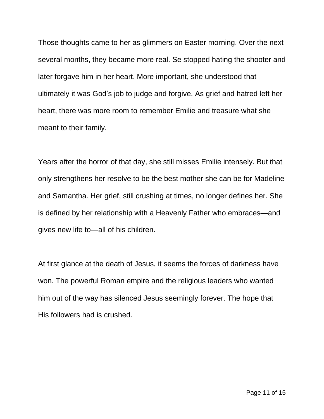Those thoughts came to her as glimmers on Easter morning. Over the next several months, they became more real. Se stopped hating the shooter and later forgave him in her heart. More important, she understood that ultimately it was God's job to judge and forgive. As grief and hatred left her heart, there was more room to remember Emilie and treasure what she meant to their family.

Years after the horror of that day, she still misses Emilie intensely. But that only strengthens her resolve to be the best mother she can be for Madeline and Samantha. Her grief, still crushing at times, no longer defines her. She is defined by her relationship with a Heavenly Father who embraces—and gives new life to—all of his children.

At first glance at the death of Jesus, it seems the forces of darkness have won. The powerful Roman empire and the religious leaders who wanted him out of the way has silenced Jesus seemingly forever. The hope that His followers had is crushed.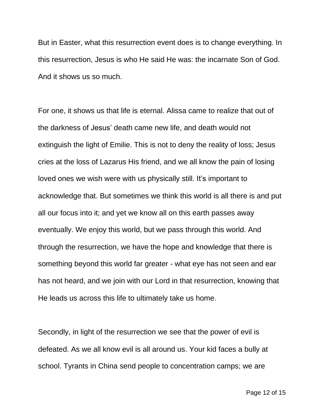But in Easter, what this resurrection event does is to change everything. In this resurrection, Jesus is who He said He was: the incarnate Son of God. And it shows us so much.

For one, it shows us that life is eternal. Alissa came to realize that out of the darkness of Jesus' death came new life, and death would not extinguish the light of Emilie. This is not to deny the reality of loss; Jesus cries at the loss of Lazarus His friend, and we all know the pain of losing loved ones we wish were with us physically still. It's important to acknowledge that. But sometimes we think this world is all there is and put all our focus into it; and yet we know all on this earth passes away eventually. We enjoy this world, but we pass through this world. And through the resurrection, we have the hope and knowledge that there is something beyond this world far greater - what eye has not seen and ear has not heard, and we join with our Lord in that resurrection, knowing that He leads us across this life to ultimately take us home.

Secondly, in light of the resurrection we see that the power of evil is defeated. As we all know evil is all around us. Your kid faces a bully at school. Tyrants in China send people to concentration camps; we are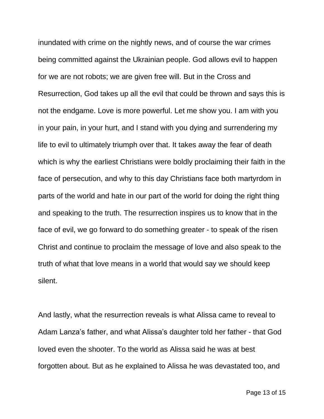inundated with crime on the nightly news, and of course the war crimes being committed against the Ukrainian people. God allows evil to happen for we are not robots; we are given free will. But in the Cross and Resurrection, God takes up all the evil that could be thrown and says this is not the endgame. Love is more powerful. Let me show you. I am with you in your pain, in your hurt, and I stand with you dying and surrendering my life to evil to ultimately triumph over that. It takes away the fear of death which is why the earliest Christians were boldly proclaiming their faith in the face of persecution, and why to this day Christians face both martyrdom in parts of the world and hate in our part of the world for doing the right thing and speaking to the truth. The resurrection inspires us to know that in the face of evil, we go forward to do something greater - to speak of the risen Christ and continue to proclaim the message of love and also speak to the truth of what that love means in a world that would say we should keep silent.

And lastly, what the resurrection reveals is what Alissa came to reveal to Adam Lanza's father, and what Alissa's daughter told her father - that God loved even the shooter. To the world as Alissa said he was at best forgotten about. But as he explained to Alissa he was devastated too, and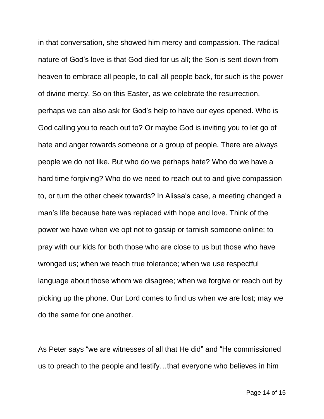in that conversation, she showed him mercy and compassion. The radical nature of God's love is that God died for us all; the Son is sent down from heaven to embrace all people, to call all people back, for such is the power of divine mercy. So on this Easter, as we celebrate the resurrection, perhaps we can also ask for God's help to have our eyes opened. Who is God calling you to reach out to? Or maybe God is inviting you to let go of hate and anger towards someone or a group of people. There are always people we do not like. But who do we perhaps hate? Who do we have a hard time forgiving? Who do we need to reach out to and give compassion to, or turn the other cheek towards? In Alissa's case, a meeting changed a man's life because hate was replaced with hope and love. Think of the power we have when we opt not to gossip or tarnish someone online; to pray with our kids for both those who are close to us but those who have wronged us; when we teach true tolerance; when we use respectful language about those whom we disagree; when we forgive or reach out by picking up the phone. Our Lord comes to find us when we are lost; may we do the same for one another.

As Peter says "we are witnesses of all that He did" and "He commissioned us to preach to the people and testify…that everyone who believes in him